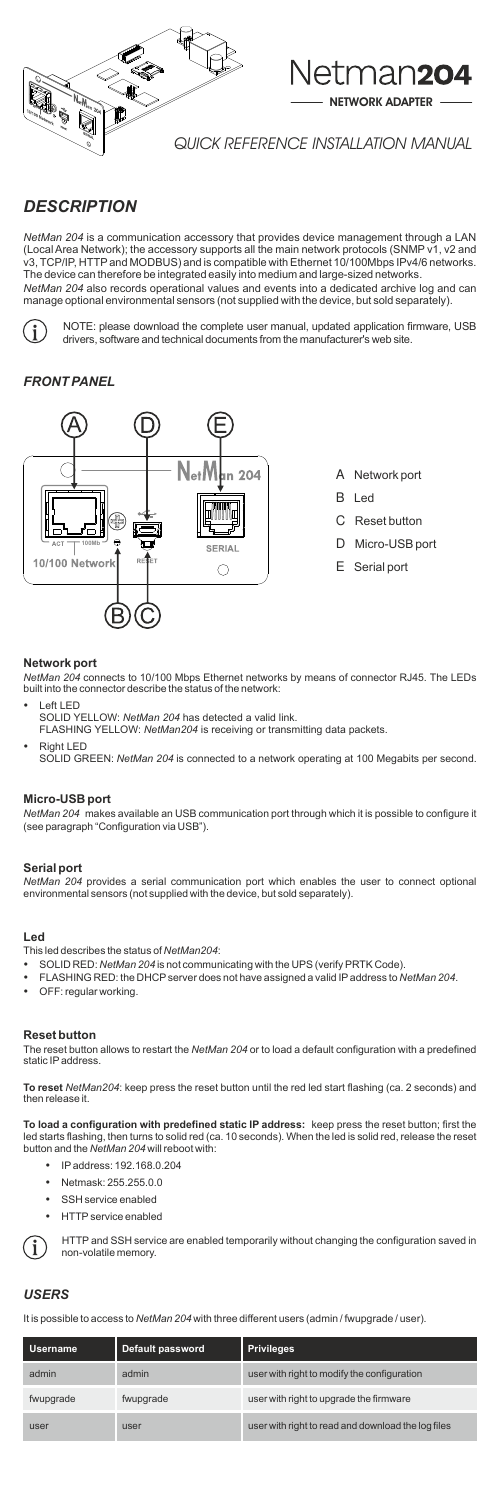

# Netman204



# *FRONT PANEL*

- A Network port
- B Led
- C Reset button
- D Micro-USB port
- E Serial port

# **Network port**

*NetMan 204* connects to 10/100 Mbps Ethernet networks by means of connector RJ45. The LEDs built into the connector describe the status of the network:

- **Left LED** SOLID YELLOW: *NetMan 204* has detected a valid link. FLASHING YELLOW: *NetMan204* is receiving or transmitting data packets.
- **Right LED** SOLID GREEN: *NetMan 204* is connected to a network operating at 100 Megabits per second.

## **Micro-USB port**

The reset button allows to restart the *NetMan 204* or to load a default configuration with a predefined static IP address.

*NetMan 204* makes available an USB communication port through which it is possible to configure it (see paragraph "Configuration via USB").

## **Serial port**

*NetMan 204* provides a serial communication port which enables the user to connect optional environmental sensors (not supplied with the device, but sold separately).

## **Led**

This led describes the status of *NetMan204*:

- SOLID RED: *NetMan 204* is not communicating with the UPS (verify PRTK Code).
- FLASHING RED: the DHCP server does not have assigned a valid IP address to *NetMan 204*.
- 
- OFF: regular working.

#### **Reset button**

**To reset** *NetMan204*: keep press the reset button until the red led start flashing (ca. 2 seconds) and then release it.

**To load a configuration with predefined static IP address:** keep press the reset button; first the led starts flashing, then turns to solid red (ca. 10 seconds). When the led is solid red, release the reset button and the *NetMan 204* will reboot with:

- IP address: 192.168.0.204
- Netmask: 255.255.0.0
- SSH service enabled
- HTTP service enabled

HTTP and SSH service are enabled temporarily without changing the configuration saved in non-volatile memory.

# *USERS*

It is possible to access to *NetMan 204* with three different users (admin / fwupgrade / user).

| <b>Username</b> | Default password | <b>Privileges</b>                                  |
|-----------------|------------------|----------------------------------------------------|
| admin           | admin            | user with right to modify the configuration        |
| fwupgrade       | fwupgrade        | user with right to upgrade the firmware            |
| user            | user             | user with right to read and download the log files |

QUICK REFERENCE INSTALLATION MANUAL

NETWORK ADAPTER

# *DESCRIPTION*

*NetMan 204* is a communication accessory that provides device management through a LAN (Local Area Network); the accessory supports all the main network protocols (SNMP v1, v2 and v3, TCP/IP, HTTP and MODBUS) and is compatible with Ethernet 10/100Mbps IPv4/6 networks. The device can therefore be integrated easily into medium and large-sized networks. *NetMan 204* also records operational values and events into a dedicated archive log and can manage optional environmental sensors (not supplied with the device, but sold separately).



NOTE: please download the complete user manual, updated application firmware, USB drivers, software and technical documents from the manufacturer's web site.